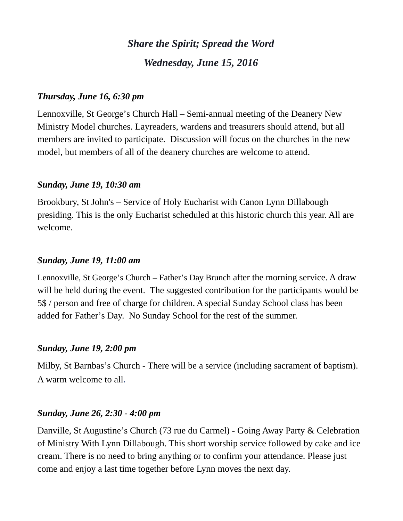# *Share the Spirit; Spread the Word Wednesday, June 15, 2016*

## *Thursday, June 16, 6:30 pm*

Lennoxville, St George's Church Hall – Semi-annual meeting of the Deanery New Ministry Model churches. Layreaders, wardens and treasurers should attend, but all members are invited to participate. Discussion will focus on the churches in the new model, but members of all of the deanery churches are welcome to attend.

#### *Sunday, June 19, 10:30 am*

Brookbury, St John's – Service of Holy Eucharist with Canon Lynn Dillabough presiding. This is the only Eucharist scheduled at this historic church this year. All are welcome.

### *Sunday, June 19, 11:00 am*

Lennoxville, St George's Church – Father's Day Brunch after the morning service. A draw will be held during the event. The suggested contribution for the participants would be 5\$ / person and free of charge for children. A special Sunday School class has been added for Father's Day. No Sunday School for the rest of the summer.

## *Sunday, June 19, 2:00 pm*

Milby, St Barnbas's Church - There will be a service (including sacrament of baptism). A warm welcome to all.

#### *Sunday, June 26, 2:30 - 4:00 pm*

Danville, St Augustine's Church (73 rue du Carmel) - Going Away Party & Celebration of Ministry With Lynn Dillabough. This short worship service followed by cake and ice cream. There is no need to bring anything or to confirm your attendance. Please just come and enjoy a last time together before Lynn moves the next day.